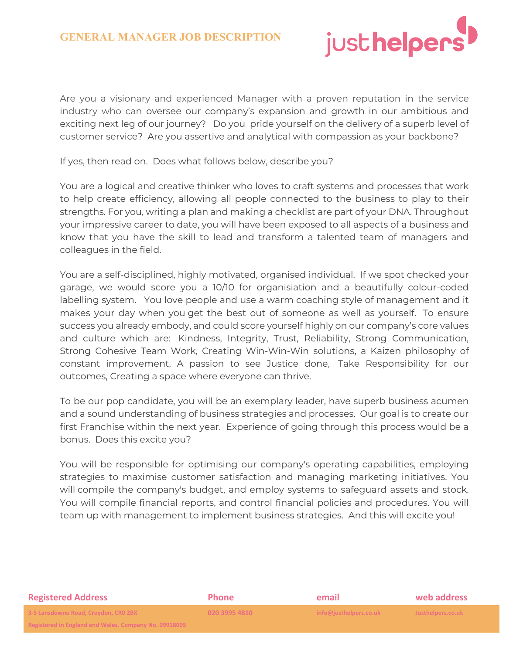

Are you a visionary and experienced Manager with a proven reputation in the service industry who can oversee our company's expansion and growth in our ambitious and exciting next leg of our journey? Do you pride yourself on the delivery of a superb level of customer service? Are you assertive and analytical with compassion as your backbone?

If yes, then read on. Does what follows below, describe you?

You are a logical and creative thinker who loves to craft systems and processes that work to help create efficiency, allowing all people connected to the business to play to their strengths. For you, writing a plan and making a checklist are part of your DNA. Throughout your impressive career to date, you will have been exposed to all aspects of a business and know that you have the skill to lead and transform a talented team of managers and colleagues in the field.

You are a self-disciplined, highly motivated, organised individual. If we spot checked your garage, we would score you a 10/10 for organisiation and a beautifully colour-coded labelling system. You love people and use a warm coaching style of management and it makes your day when you get the best out of someone as well as yourself. To ensure success you already embody, and could score yourself highly on our company's core values and culture which are: Kindness, Integrity, Trust, Reliability, Strong Communication, Strong Cohesive Team Work, Creating Win-Win-Win solutions, a Kaizen philosophy of constant improvement, A passion to see Justice done, Take Responsibility for our outcomes, Creating a space where everyone can thrive.

To be our pop candidate, you will be an exemplary leader, have superb business acumen and a sound understanding of business strategies and processes. Our goal is to create our first Franchise within the next year. Experience of going through this process would be a bonus. Does this excite you?

You will be responsible for optimising our company's operating capabilities, employing strategies to maximise customer satisfaction and managing marketing initiatives. You will compile the company's budget, and employ systems to safeguard assets and stock. You will compile financial reports, and control financial policies and procedures. You will team up with management to implement business strategies. And this will excite you!

| <b>Registered Address</b>                                                                                                   | <b>Phone</b>  | email                  | web address       |
|-----------------------------------------------------------------------------------------------------------------------------|---------------|------------------------|-------------------|
| 3-5 Lansdowne Road, Croydon, CRO 2BX                                                                                        | 020 3995 4810 | info@justhelpers.co.uk | Justhelpers.co.uk |
| <b>Positroped in England and Wales, Company No. 00019005</b><br><b>INCRISION IN ENRIGHT GIN WAILS. COMPANY NO. 05516005</b> |               |                        |                   |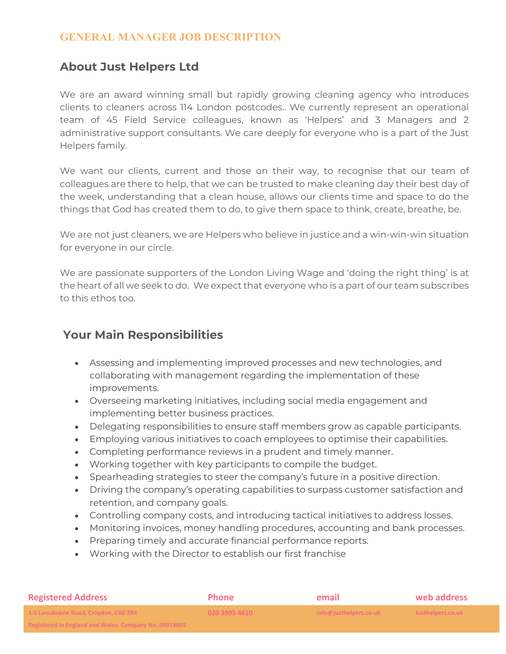### **GENERAL MANAGER JOB DESCRIPTION**

## **About Just Helpers Ltd**

We are an award winning small but rapidly growing cleaning agency who introduces clients to cleaners across 114 London postcodes.. We currently represent an operational team of 45 Field Service colleagues, known as 'Helpers' and 3 Managers and 2 administrative support consultants. We care deeply for everyone who is a part of the Just Helpers family.

We want our clients, current and those on their way, to recognise that our team of colleagues are there to help, that we can be trusted to make cleaning day their best day of the week, understanding that a clean house, allows our clients time and space to do the things that God has created them to do, to give them space to think, create, breathe, be.

We are not just cleaners, we are Helpers who believe in justice and a win-win-win situation for everyone in our circle.

We are passionate supporters of the London Living Wage and 'doing the right thing' is at the heart of all we seek to do. We expect that everyone who is a part of our team subscribes to this ethos too.

# **Your Main Responsibilities**

- Assessing and implementing improved processes and new technologies, and collaborating with management regarding the implementation of these improvements.
- Overseeing marketing initiatives, including social media engagement and implementing better business practices.
- Delegating responsibilities to ensure staff members grow as capable participants.
- Employing various initiatives to coach employees to optimise their capabilities.
- Completing performance reviews in a prudent and timely manner.
- Working together with key participants to compile the budget.
- Spearheading strategies to steer the company's future in a positive direction.
- Driving the company's operating capabilities to surpass customer satisfaction and retention, and company goals.
- Controlling company costs, and introducing tactical initiatives to address losses.
- Monitoring invoices, money handling procedures, accounting and bank processes.
- Preparing timely and accurate financial performance reports.
- Working with the Director to establish our first franchise

| <b>Registered Address</b>                                                                                                | <b>Phone</b>  | email                  | web address       |
|--------------------------------------------------------------------------------------------------------------------------|---------------|------------------------|-------------------|
| 3-5 Lansdowne Road, Croydon, CRO 2BX                                                                                     | 020 3995 4810 | info@justhelpers.co.uk | Justhelpers.co.uk |
| <b>Dogictored in England and Wales, Company No. 00019005</b><br><u>REXISTER OF FIRMIN AND MARS. COMPANY NO. 03310003</u> |               |                        |                   |